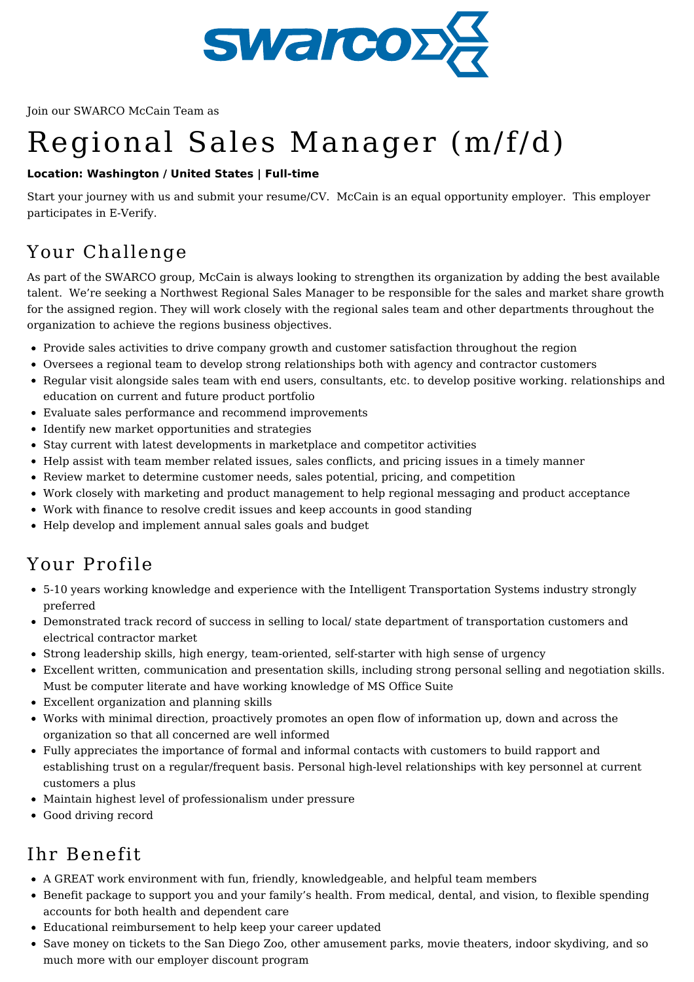

Join our SWARCO McCain Team as

# Regional Sales Manager (m/f/d)

#### **Location: Washington / United States | Full-time**

Start your journey with us and submit your resume/CV. McCain is an equal opportunity employer. This employer participates in E-Verify.

## Your Challenge

As part of the SWARCO group, McCain is always looking to strengthen its organization by adding the best available talent. We're seeking a Northwest Regional Sales Manager to be responsible for the sales and market share growth for the assigned region. They will work closely with the regional sales team and other departments throughout the organization to achieve the regions business objectives.

- Provide sales activities to drive company growth and customer satisfaction throughout the region
- Oversees a regional team to develop strong relationships both with agency and contractor customers
- Regular visit alongside sales team with end users, consultants, etc. to develop positive working. relationships and education on current and future product portfolio
- Evaluate sales performance and recommend improvements
- Identify new market opportunities and strategies
- Stay current with latest developments in marketplace and competitor activities
- Help assist with team member related issues, sales conflicts, and pricing issues in a timely manner
- Review market to determine customer needs, sales potential, pricing, and competition
- Work closely with marketing and product management to help regional messaging and product acceptance
- Work with finance to resolve credit issues and keep accounts in good standing
- Help develop and implement annual sales goals and budget

### Your Profile

- 5-10 years working knowledge and experience with the Intelligent Transportation Systems industry strongly preferred
- Demonstrated track record of success in selling to local/ state department of transportation customers and electrical contractor market
- Strong leadership skills, high energy, team-oriented, self-starter with high sense of urgency
- Excellent written, communication and presentation skills, including strong personal selling and negotiation skills. Must be computer literate and have working knowledge of MS Office Suite
- Excellent organization and planning skills
- Works with minimal direction, proactively promotes an open flow of information up, down and across the organization so that all concerned are well informed
- Fully appreciates the importance of formal and informal contacts with customers to build rapport and establishing trust on a regular/frequent basis. Personal high-level relationships with key personnel at current customers a plus
- Maintain highest level of professionalism under pressure
- Good driving record

### Ihr Benefit

- A GREAT work environment with fun, friendly, knowledgeable, and helpful team members
- Benefit package to support you and your family's health. From medical, dental, and vision, to flexible spending accounts for both health and dependent care
- Educational reimbursement to help keep your career updated
- Save money on tickets to the San Diego Zoo, other amusement parks, movie theaters, indoor skydiving, and so much more with our employer discount program